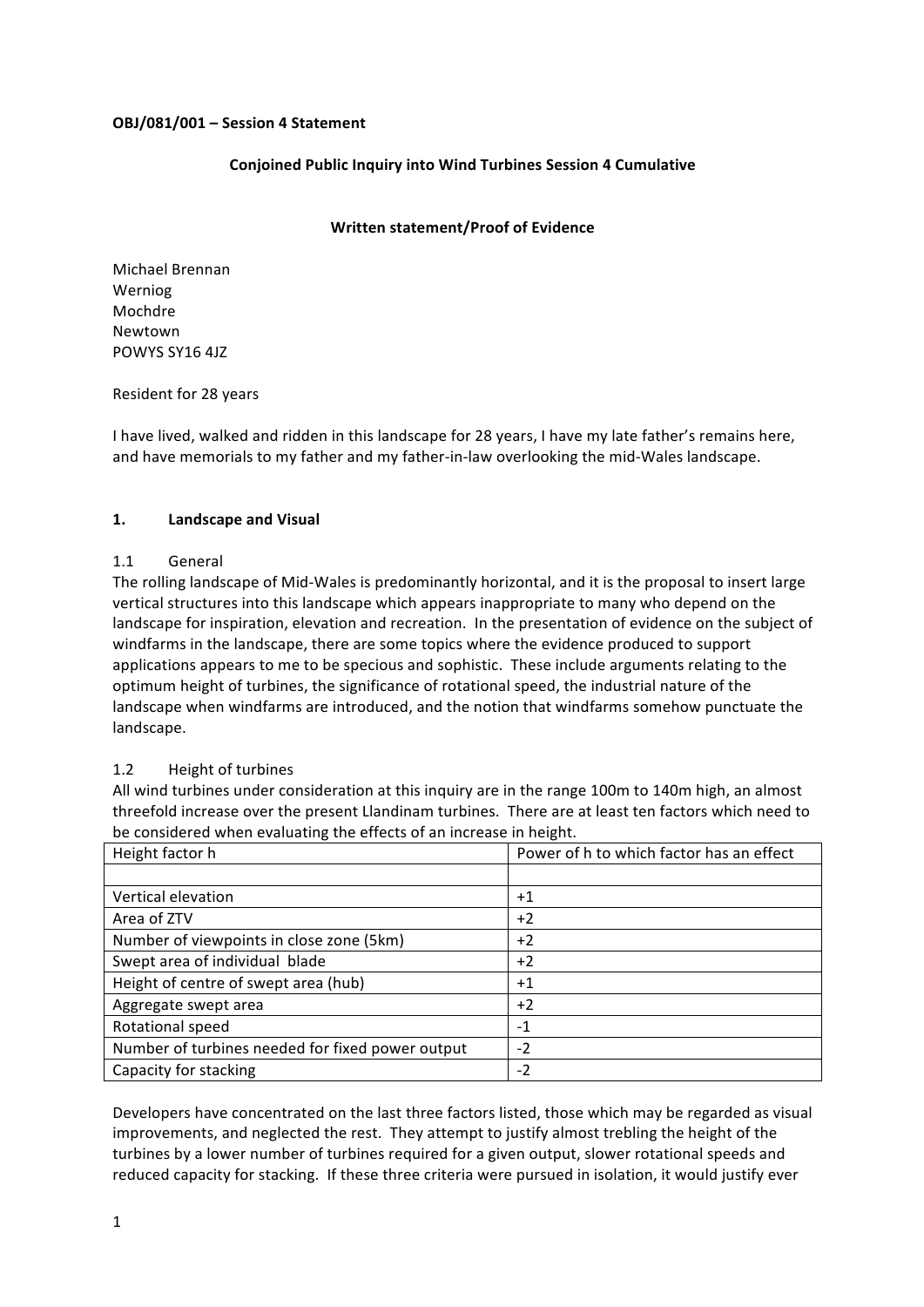### **OBJ/081/001 – Session 4 Statement**

### **Conioined Public Inquiry into Wind Turbines Session 4 Cumulative**

### **Written statement/Proof of Evidence**

Michael Brennan Werniog Mochdre Newtown POWYS SY16 4JZ

#### Resident for 28 years

I have lived, walked and ridden in this landscape for 28 years, I have my late father's remains here, and have memorials to my father and my father-in-law overlooking the mid-Wales landscape.

### **1. Landscape and Visual**

#### 1.1 General

The rolling landscape of Mid-Wales is predominantly horizontal, and it is the proposal to insert large vertical structures into this landscape which appears inappropriate to many who depend on the landscape for inspiration, elevation and recreation. In the presentation of evidence on the subject of windfarms in the landscape, there are some topics where the evidence produced to support applications appears to me to be specious and sophistic. These include arguments relating to the optimum height of turbines, the significance of rotational speed, the industrial nature of the landscape when windfarms are introduced, and the notion that windfarms somehow punctuate the landscape.

### 1.2 Height of turbines

All wind turbines under consideration at this inquiry are in the range 100m to 140m high, an almost threefold increase over the present Llandinam turbines. There are at least ten factors which need to be considered when evaluating the effects of an increase in height.

| Height factor h                                  | Power of h to which factor has an effect |
|--------------------------------------------------|------------------------------------------|
|                                                  |                                          |
| Vertical elevation                               | $+1$                                     |
| Area of ZTV                                      | $+2$                                     |
| Number of viewpoints in close zone (5km)         | $+2$                                     |
| Swept area of individual blade                   | $+2$                                     |
| Height of centre of swept area (hub)             | $+1$                                     |
| Aggregate swept area                             | $+2$                                     |
| Rotational speed                                 | -1                                       |
| Number of turbines needed for fixed power output | $-2$                                     |
| Capacity for stacking                            | $-2$                                     |

Developers have concentrated on the last three factors listed, those which may be regarded as visual improvements, and neglected the rest. They attempt to justify almost trebling the height of the turbines by a lower number of turbines required for a given output, slower rotational speeds and reduced capacity for stacking. If these three criteria were pursued in isolation, it would justify ever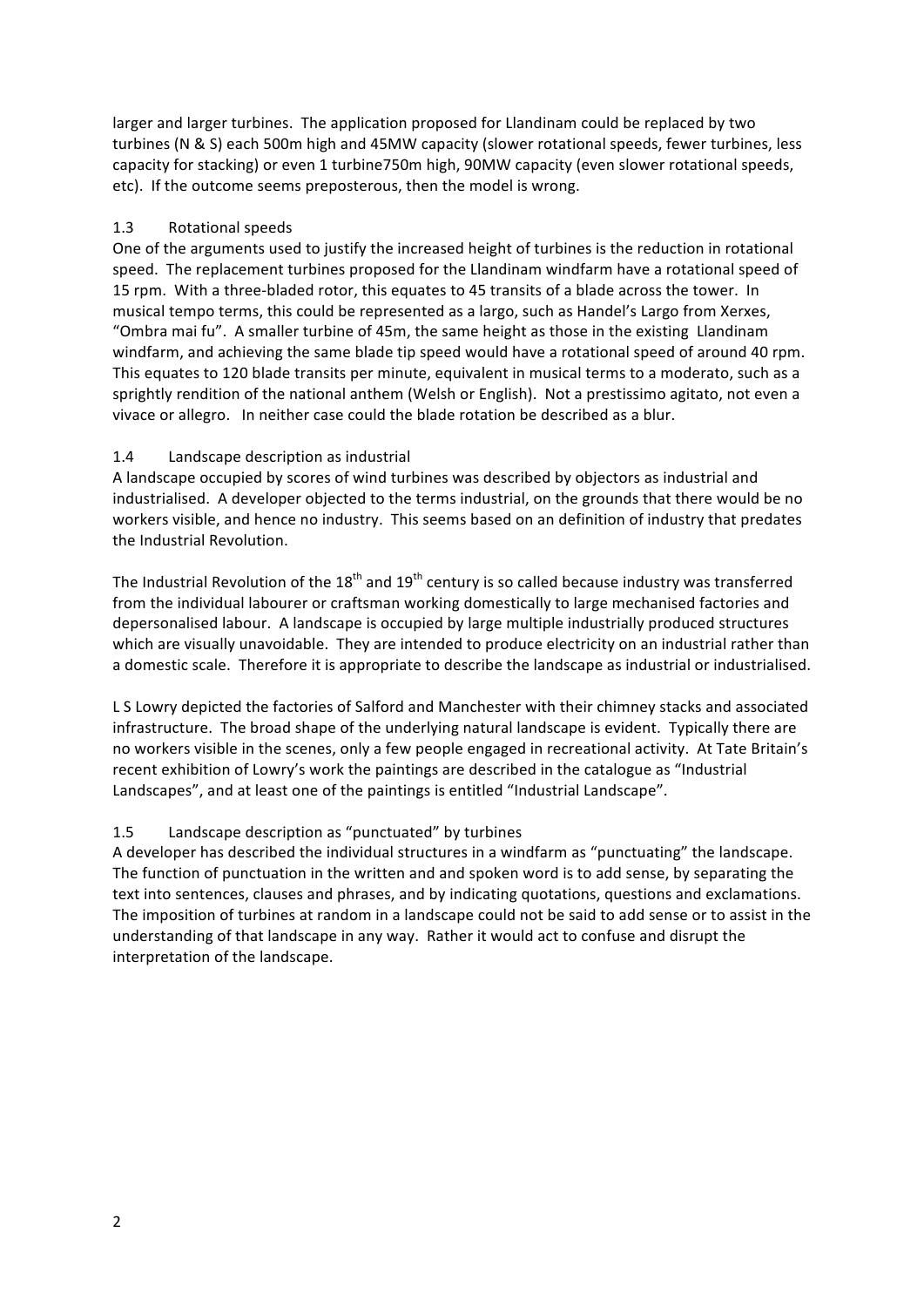larger and larger turbines. The application proposed for Llandinam could be replaced by two turbines (N & S) each 500m high and 45MW capacity (slower rotational speeds, fewer turbines, less capacity for stacking) or even 1 turbine750m high, 90MW capacity (even slower rotational speeds, etc). If the outcome seems preposterous, then the model is wrong.

# 1.3 Rotational speeds

One of the arguments used to justify the increased height of turbines is the reduction in rotational speed. The replacement turbines proposed for the Llandinam windfarm have a rotational speed of 15 rpm. With a three-bladed rotor, this equates to 45 transits of a blade across the tower. In musical tempo terms, this could be represented as a largo, such as Handel's Largo from Xerxes, "Ombra mai fu". A smaller turbine of 45m, the same height as those in the existing Llandinam windfarm, and achieving the same blade tip speed would have a rotational speed of around 40 rpm. This equates to 120 blade transits per minute, equivalent in musical terms to a moderato, such as a sprightly rendition of the national anthem (Welsh or English). Not a prestissimo agitato, not even a vivace or allegro. In neither case could the blade rotation be described as a blur.

# 1.4 Landscape description as industrial

A landscape occupied by scores of wind turbines was described by objectors as industrial and industrialised. A developer objected to the terms industrial, on the grounds that there would be no workers visible, and hence no industry. This seems based on an definition of industry that predates the Industrial Revolution.

The Industrial Revolution of the  $18<sup>th</sup>$  and  $19<sup>th</sup>$  century is so called because industry was transferred from the individual labourer or craftsman working domestically to large mechanised factories and depersonalised labour. A landscape is occupied by large multiple industrially produced structures which are visually unavoidable. They are intended to produce electricity on an industrial rather than a domestic scale. Therefore it is appropriate to describe the landscape as industrial or industrialised.

L S Lowry depicted the factories of Salford and Manchester with their chimney stacks and associated infrastructure. The broad shape of the underlying natural landscape is evident. Typically there are no workers visible in the scenes, only a few people engaged in recreational activity. At Tate Britain's recent exhibition of Lowry's work the paintings are described in the catalogue as "Industrial Landscapes", and at least one of the paintings is entitled "Industrial Landscape".

# 1.5 Landscape description as "punctuated" by turbines

A developer has described the individual structures in a windfarm as "punctuating" the landscape. The function of punctuation in the written and and spoken word is to add sense, by separating the text into sentences, clauses and phrases, and by indicating quotations, questions and exclamations. The imposition of turbines at random in a landscape could not be said to add sense or to assist in the understanding of that landscape in any way. Rather it would act to confuse and disrupt the interpretation of the landscape.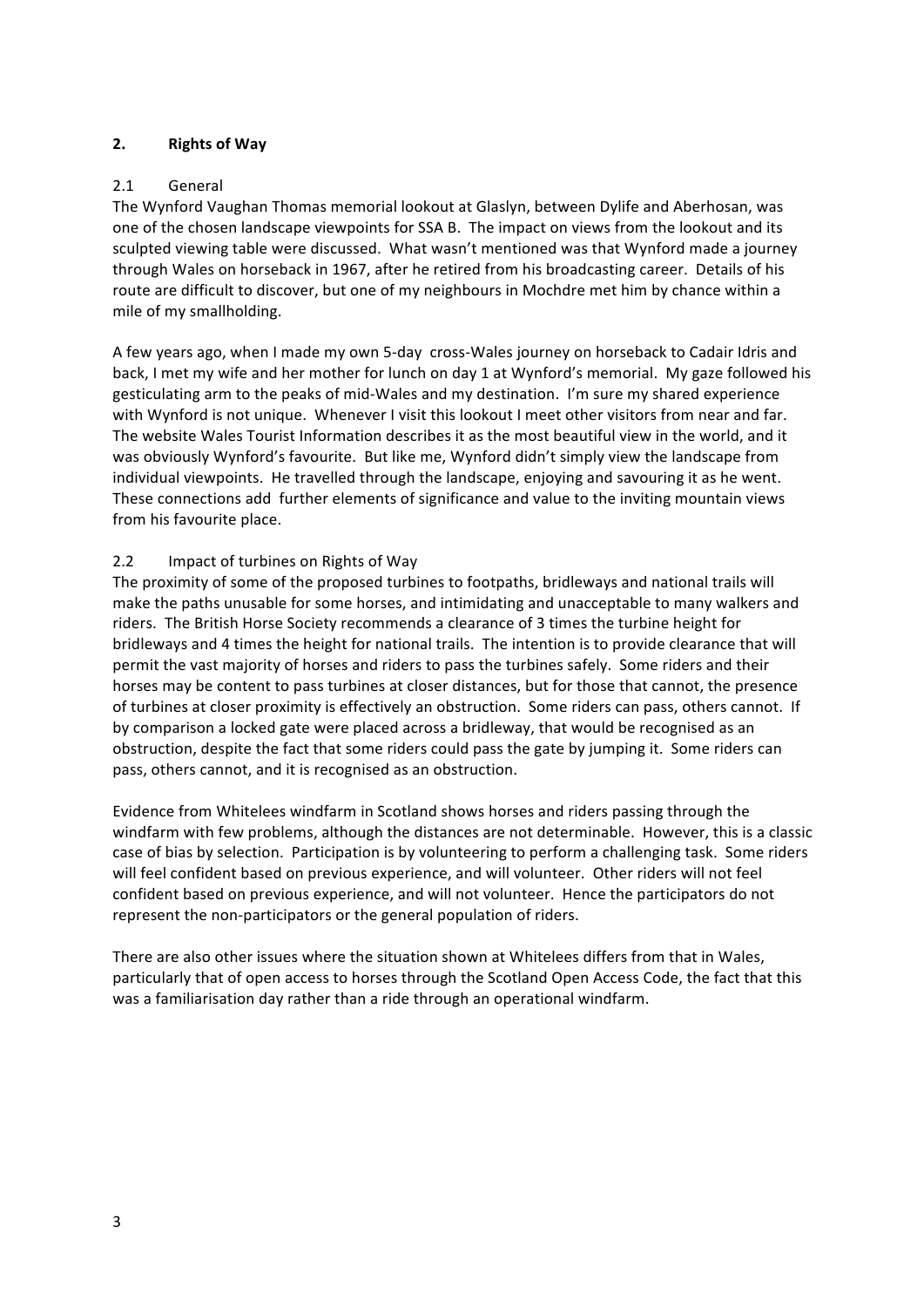# **2. Rights of Way**

## 2.1 General

The Wynford Vaughan Thomas memorial lookout at Glaslyn, between Dylife and Aberhosan, was one of the chosen landscape viewpoints for SSA B. The impact on views from the lookout and its sculpted viewing table were discussed. What wasn't mentioned was that Wynford made a journey through Wales on horseback in 1967, after he retired from his broadcasting career. Details of his route are difficult to discover, but one of my neighbours in Mochdre met him by chance within a mile of my smallholding.

A few years ago, when I made my own 5-day cross-Wales journey on horseback to Cadair Idris and back, I met my wife and her mother for lunch on day 1 at Wynford's memorial. My gaze followed his gesticulating arm to the peaks of mid-Wales and my destination. I'm sure my shared experience with Wynford is not unique. Whenever I visit this lookout I meet other visitors from near and far. The website Wales Tourist Information describes it as the most beautiful view in the world, and it was obviously Wynford's favourite. But like me, Wynford didn't simply view the landscape from individual viewpoints. He travelled through the landscape, enjoying and savouring it as he went. These connections add further elements of significance and value to the inviting mountain views from his favourite place.

## 2.2 Impact of turbines on Rights of Way

The proximity of some of the proposed turbines to footpaths, bridleways and national trails will make the paths unusable for some horses, and intimidating and unacceptable to many walkers and riders. The British Horse Society recommends a clearance of 3 times the turbine height for bridleways and 4 times the height for national trails. The intention is to provide clearance that will permit the vast majority of horses and riders to pass the turbines safely. Some riders and their horses may be content to pass turbines at closer distances, but for those that cannot, the presence of turbines at closer proximity is effectively an obstruction. Some riders can pass, others cannot. If by comparison a locked gate were placed across a bridleway, that would be recognised as an obstruction, despite the fact that some riders could pass the gate by jumping it. Some riders can pass, others cannot, and it is recognised as an obstruction.

Evidence from Whitelees windfarm in Scotland shows horses and riders passing through the windfarm with few problems, although the distances are not determinable. However, this is a classic case of bias by selection. Participation is by volunteering to perform a challenging task. Some riders will feel confident based on previous experience, and will volunteer. Other riders will not feel confident based on previous experience, and will not volunteer. Hence the participators do not represent the non-participators or the general population of riders.

There are also other issues where the situation shown at Whitelees differs from that in Wales, particularly that of open access to horses through the Scotland Open Access Code, the fact that this was a familiarisation day rather than a ride through an operational windfarm.